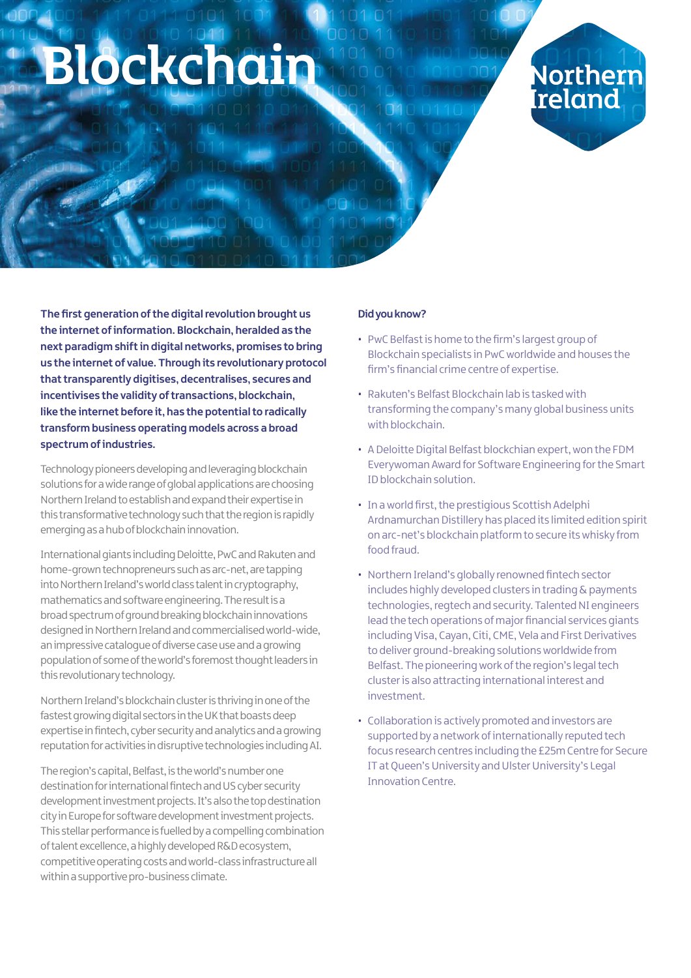# bckchai

Northerr Irelanc

**The first generation of the digital revolution brought us the internet of information. Blockchain, heralded as the next paradigm shift in digital networks, promises to bring us the internet of value. Through its revolutionary protocol that transparently digitises, decentralises, secures and incentivises the validity of transactions, blockchain, like the internet before it, has the potential to radically transform business operating models across a broad spectrum of industries.** 

Technology pioneers developing and leveraging blockchain solutions for a wide range of global applications are choosing Northern Ireland to establish and expand their expertise in this transformative technology such that the region is rapidly emerging as a hub of blockchain innovation.

International giants including Deloitte, PwC and Rakuten and home-grown technopreneurs such as arc-net, are tapping into Northern Ireland's world class talent in cryptography, mathematics and software engineering. The result is a broad spectrum of ground breaking blockchain innovations designed in Northern Ireland and commercialised world-wide, an impressive catalogue of diverse case use and a growing population of some of the world's foremost thought leaders in this revolutionary technology.

Northern Ireland's blockchain cluster is thriving in one of the fastest growing digital sectors in the UK that boasts deep expertise in fintech, cyber security and analytics and a growing reputation for activities in disruptive technologies including AI.

The region's capital, Belfast, is the world's number one destination for international fintech and US cyber security development investment projects. It's also the top destination city in Europe for software development investment projects. This stellar performance is fuelled by a compelling combination of talent excellence, a highly developed R&D ecosystem, competitive operating costs and world-class infrastructure all within a supportive pro-business climate.

#### **Did you know?**

- PwC Belfast is home to the firm's largest group of Blockchain specialists in PwC worldwide and houses the firm's financial crime centre of expertise.
- Rakuten's Belfast Blockchain lab is tasked with transforming the company's many global business units with blockchain.
- A Deloitte Digital Belfast blockchian expert, won the FDM Everywoman Award for Software Engineering for the Smart ID blockchain solution.
- In a world first, the prestigious Scottish Adelphi Ardnamurchan Distillery has placed its limited edition spirit on arc-net's blockchain platform to secure its whisky from food fraud.
- Northern Ireland's globally renowned fintech sector includes highly developed clusters in trading & payments technologies, regtech and security. Talented NI engineers lead the tech operations of major financial services giants including Visa, Cayan, Citi, CME, Vela and First Derivatives to deliver ground-breaking solutions worldwide from Belfast. The pioneering work of the region's legal tech cluster is also attracting international interest and investment.
- Collaboration is actively promoted and investors are supported by a network of internationally reputed tech focus research centres including the £25m Centre for Secure IT at Queen's University and Ulster University's Legal Innovation Centre.